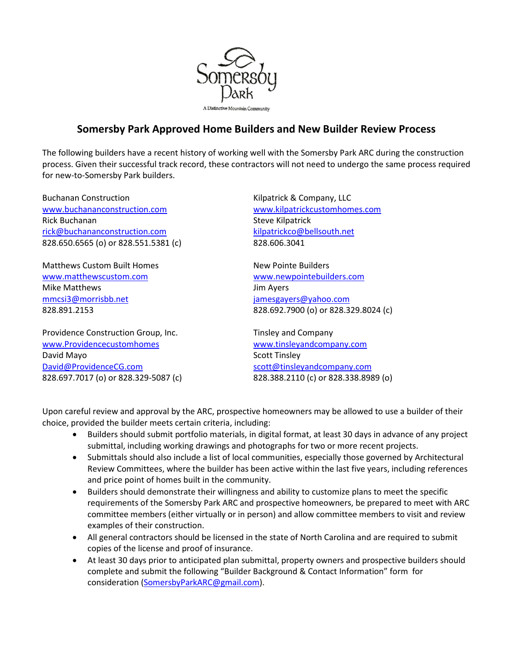

# **Somersby Park Approved Home Builders and New Builder Review Process**

The following builders have a recent history of working well with the Somersby Park ARC during the construction process. Given their successful track record, these contractors will not need to undergo the same process required for new-to-Somersby Park builders.

Buchanan Construction **Kilpatrick & Company, LLC** www.buchananconstruction.com www.kilpatrickcustomhomes.com Rick Buchanan Steve Kilpatrick rick@buchananconstruction.com kilpatrickco@bellsouth.net 828.650.6565 (o) or 828.551.5381 (c) 828.606.3041

Matthews Custom Built Homes New Pointe Builders www.matthewscustom.com www.newpointebuilders.com Mike Matthews **Mike Matthews Jim Ayers** mmcsi3@morrisbb.net jamesgayers@yahoo.com

Providence Construction Group, Inc. Tinsley and Company www.Providencecustomhomes www.tinsleyandcompany.com David Mayo **Scott Tinsley** David@ProvidenceCG.com scott@tinsleyandcompany.com

828.891.2153 828.692.7900 (o) or 828.329.8024 (c)

828.697.7017 (o) or 828.329-5087 (c) 828.388.2110 (c) or 828.338.8989 (o)

Upon careful review and approval by the ARC, prospective homeowners may be allowed to use a builder of their choice, provided the builder meets certain criteria, including:

- Builders should submit portfolio materials, in digital format, at least 30 days in advance of any project submittal, including working drawings and photographs for two or more recent projects.
- Submittals should also include a list of local communities, especially those governed by Architectural Review Committees, where the builder has been active within the last five years, including references and price point of homes built in the community.
- Builders should demonstrate their willingness and ability to customize plans to meet the specific requirements of the Somersby Park ARC and prospective homeowners, be prepared to meet with ARC committee members (either virtually or in person) and allow committee members to visit and review examples of their construction.
- All general contractors should be licensed in the state of North Carolina and are required to submit copies of the license and proof of insurance.
- At least 30 days prior to anticipated plan submittal, property owners and prospective builders should complete and submit the following "Builder Background & Contact Information" form for consideration (SomersbyParkARC@gmail.com).